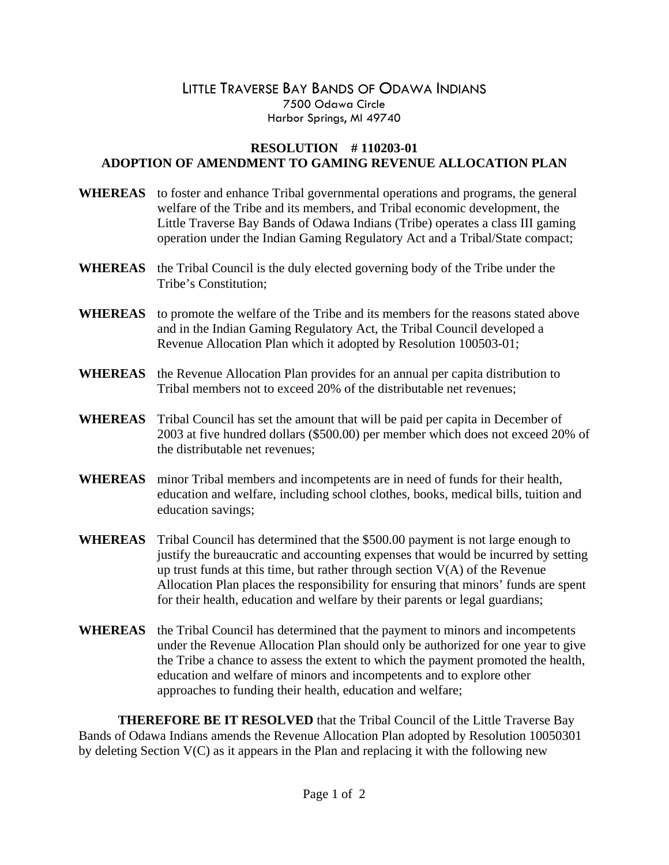## LITTLE TRAVERSE BAY BANDS OF ODAWA INDIANS 7500 Odawa Circle Harbor Springs, MI 49740

## **RESOLUTION # 110203-01 ADOPTION OF AMENDMENT TO GAMING REVENUE ALLOCATION PLAN**

- **WHEREAS** to foster and enhance Tribal governmental operations and programs, the general welfare of the Tribe and its members, and Tribal economic development, the Little Traverse Bay Bands of Odawa Indians (Tribe) operates a class III gaming operation under the Indian Gaming Regulatory Act and a Tribal/State compact;
- **WHEREAS** the Tribal Council is the duly elected governing body of the Tribe under the Tribe's Constitution;
- **WHEREAS** to promote the welfare of the Tribe and its members for the reasons stated above and in the Indian Gaming Regulatory Act, the Tribal Council developed a Revenue Allocation Plan which it adopted by Resolution 100503-01;
- **WHEREAS** the Revenue Allocation Plan provides for an annual per capita distribution to Tribal members not to exceed 20% of the distributable net revenues;
- **WHEREAS** Tribal Council has set the amount that will be paid per capita in December of 2003 at five hundred dollars (\$500.00) per member which does not exceed 20% of the distributable net revenues;
- **WHEREAS** minor Tribal members and incompetents are in need of funds for their health, education and welfare, including school clothes, books, medical bills, tuition and education savings;
- **WHEREAS** Tribal Council has determined that the \$500.00 payment is not large enough to justify the bureaucratic and accounting expenses that would be incurred by setting up trust funds at this time, but rather through section  $V(A)$  of the Revenue Allocation Plan places the responsibility for ensuring that minors' funds are spent for their health, education and welfare by their parents or legal guardians;
- **WHEREAS** the Tribal Council has determined that the payment to minors and incompetents under the Revenue Allocation Plan should only be authorized for one year to give the Tribe a chance to assess the extent to which the payment promoted the health, education and welfare of minors and incompetents and to explore other approaches to funding their health, education and welfare;

 **THEREFORE BE IT RESOLVED** that the Tribal Council of the Little Traverse Bay Bands of Odawa Indians amends the Revenue Allocation Plan adopted by Resolution 10050301 by deleting Section V(C) as it appears in the Plan and replacing it with the following new